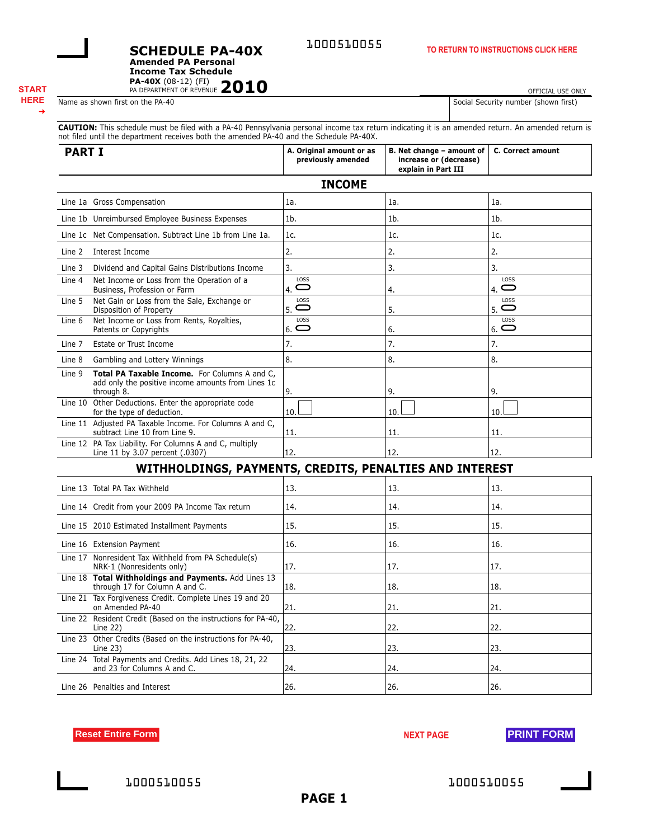1000510055

**Amended PA Personal Income Tax Schedule**

**SCHEDULE PA-40X**

**PA-40X** (08-12) (FI) 2010

#### ➜

OFFICIAL USE ONLY

Name as shown first on the PA-40 Social Security number (shown first)

**CAUTION:** This schedule must be filed with a PA-40 Pennsylvania personal income tax return indicating it is an amended return. An amended return is not filed until the department receives both the amended PA-40 and the Schedule PA-40X.

| <b>PART I</b>                                                                                                               | A. Original amount or as<br>previously amended | B. Net change - amount of<br>increase or (decrease)<br>explain in Part III | C. Correct amount          |
|-----------------------------------------------------------------------------------------------------------------------------|------------------------------------------------|----------------------------------------------------------------------------|----------------------------|
|                                                                                                                             | <b>INCOME</b>                                  |                                                                            |                            |
| Line 1a Gross Compensation                                                                                                  | 1a.                                            | 1a.                                                                        | 1a.                        |
| Line 1b Unreimbursed Employee Business Expenses                                                                             | 1 <sub>b</sub>                                 | $1b$ .                                                                     | 1 <sub>b</sub>             |
| Line 1c Net Compensation. Subtract Line 1b from Line 1a.                                                                    | 1c.                                            | 1c.                                                                        | 1c.                        |
| Interest Income<br>Line 2                                                                                                   | 2.                                             | 2.                                                                         | 2.                         |
| Dividend and Capital Gains Distributions Income<br>Line 3                                                                   | 3.                                             | 3.                                                                         | 3.                         |
| Net Income or Loss from the Operation of a<br>Line 4<br>Business, Profession or Farm                                        | LOSS<br>$\mathbf\subset$<br>4.                 | 4.                                                                         | LOSS<br>$4.$ $\bigoplus$   |
| Net Gain or Loss from the Sale, Exchange or<br>Line 5<br>Disposition of Property                                            | LOSS<br>$5.$ $\bigcirc$                        | 5.                                                                         | LOSS<br>$_{5.}$ $\bigcirc$ |
| Net Income or Loss from Rents, Royalties,<br>Line 6<br>Patents or Copyrights                                                | LOSS<br>$6.$ $\bigcirc$                        | 6.                                                                         | LOSS<br>$6.$ $\bigcirc$    |
| Estate or Trust Income<br>Line 7                                                                                            | 7.                                             | 7.                                                                         | 7.                         |
| Gambling and Lottery Winnings<br>Line 8                                                                                     | 8.                                             | 8.                                                                         | 8.                         |
| Total PA Taxable Income. For Columns A and C,<br>Line 9<br>add only the positive income amounts from Lines 1c<br>through 8. | 9.                                             | 9.                                                                         | 9.                         |
| Line 10 Other Deductions. Enter the appropriate code<br>for the type of deduction.                                          | 10.                                            | 10.                                                                        | 10.                        |
| Line 11 Adjusted PA Taxable Income. For Columns A and C,<br>subtract Line 10 from Line 9.                                   | 11.                                            | 11.                                                                        | 11.                        |
| Line 12 PA Tax Liability. For Columns A and C, multiply<br>Line 11 by 3.07 percent (.0307)                                  | 12.                                            | 12.                                                                        | 12.                        |
| WITHHOLDINGS, PAYMENTS, CREDITS, PENALTIES AND INTEREST                                                                     |                                                |                                                                            |                            |
| Line 13 Total PA Tax Withheld                                                                                               | 13.                                            | 13.                                                                        | 13.                        |
| Line 14 Credit from your 2009 PA Income Tax return                                                                          | 14.                                            | 14.                                                                        | 14.                        |
| Line 15 2010 Estimated Installment Payments                                                                                 | 15.                                            | 15.                                                                        | 15.                        |
| Line 16 Extension Payment                                                                                                   | 16.                                            | 16.                                                                        | 16.                        |
| Line 17 Nonresident Tax Withheld from PA Schedule(s)<br>NRK-1 (Nonresidents only)                                           | 17.                                            | 17.                                                                        | 17.                        |
| Line 18 Total Withholdings and Payments. Add Lines 13<br>through 17 for Column A and C.                                     | 18.                                            | 18.                                                                        | 18.                        |
| Line 21 Tax Forgiveness Credit. Complete Lines 19 and 20<br>on Amended PA-40                                                | 21.                                            | 21.                                                                        | 21.                        |
| Line 22 Resident Credit (Based on the instructions for PA-40,<br>Line 22)                                                   | 22.                                            | 22.                                                                        | 22.                        |
| Line 23 Other Credits (Based on the instructions for PA-40,<br>Line $23$ )                                                  | 23.                                            | 23.                                                                        | 23.                        |

**Reset Entire Form NEXT PAGE PRINT FORM** 

Line 24 Total Payments and Credits. Add Lines 18, 21, 22

and 23 for Columns A and C.  $24.$   $24.$   $24.$   $24.$ 

Line 26 Penalties and Interest 26. 20. 20. 20. 20. 20. 20. 20.

1000510055 1000510055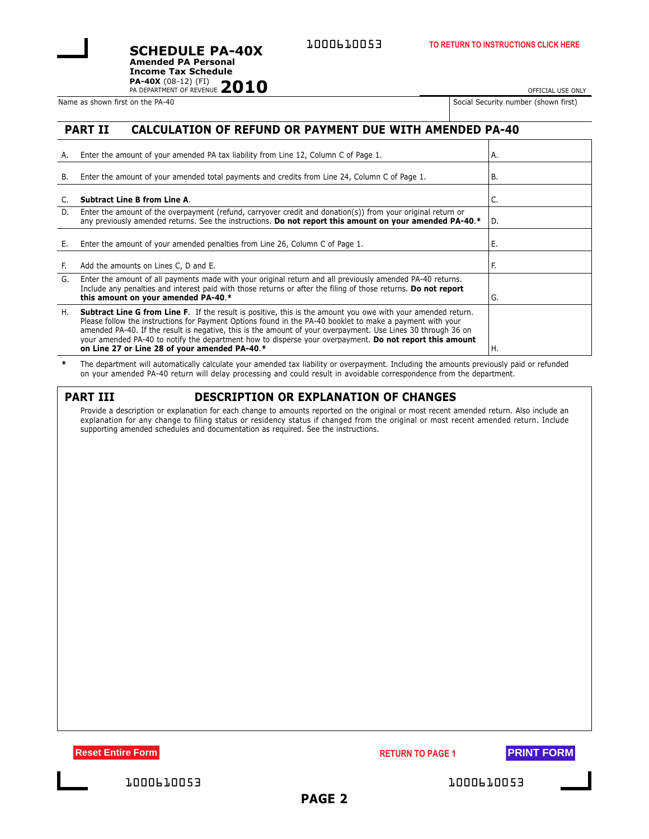**PA-40X** (08-12) (FI)<br>PA DEPARTMENT OF REVENUE 2010 **Amended PA Personal Income Tax Schedule**

**SCHEDULE PA-40X**

Name as shown first on the PA-40 Social Security number (shown first on the PA-40

OFFICIAL USE ONLY

|  | Security number (shown first) |  |  |  |
|--|-------------------------------|--|--|--|
|--|-------------------------------|--|--|--|

## **PART II CALCULATION OF REFUND OR PAYMENT DUE WITH AMENDED PA-40**

| А. | Enter the amount of your amended PA tax liability from Line 12, Column C of Page 1.                                                                                                                                                                                                                                                                                                                                                                                                                          | А.  |
|----|--------------------------------------------------------------------------------------------------------------------------------------------------------------------------------------------------------------------------------------------------------------------------------------------------------------------------------------------------------------------------------------------------------------------------------------------------------------------------------------------------------------|-----|
| В. | Enter the amount of your amended total payments and credits from Line 24, Column C of Page 1.                                                                                                                                                                                                                                                                                                                                                                                                                | В.  |
|    | <b>Subtract Line B from Line A.</b>                                                                                                                                                                                                                                                                                                                                                                                                                                                                          | C.  |
| D. | Enter the amount of the overpayment (refund, carryover credit and donation(s)) from your original return or<br>any previously amended returns. See the instructions. Do not report this amount on your amended PA-40.*                                                                                                                                                                                                                                                                                       | ID. |
| Е. | Enter the amount of your amended penalties from Line 26, Column C of Page 1.                                                                                                                                                                                                                                                                                                                                                                                                                                 | Е.  |
| Е. | Add the amounts on Lines C, D and E.                                                                                                                                                                                                                                                                                                                                                                                                                                                                         | F.  |
| G. | Enter the amount of all payments made with your original return and all previously amended PA-40 returns.<br>Include any penalties and interest paid with those returns or after the filing of those returns. Do not report<br>this amount on your amended PA-40.*                                                                                                                                                                                                                                           | G.  |
| Η. | <b>Subtract Line G from Line F.</b> If the result is positive, this is the amount you owe with your amended return.<br>Please follow the instructions for Payment Options found in the PA-40 booklet to make a payment with your<br>amended PA-40. If the result is negative, this is the amount of your overpayment. Use Lines 30 through 36 on<br>your amended PA-40 to notify the department how to disperse your overpayment. Do not report this amount<br>on Line 27 or Line 28 of your amended PA-40.* | Н.  |

**\*** The department will automatically calculate your amended tax liability or overpayment. Including the amounts previously paid or refunded on your amended PA-40 return will delay processing and could result in avoidable correspondence from the department.

| и<br>н |  |
|--------|--|
|--------|--|

## **PARTION OR EXPLANATION OF CHANGES**

Provide a description or explanation for each change to amounts reported on the original or most recent amended return. Also include an explanation for any change to filing status or residency status if changed from the original or most recent amended return. Include supporting amended schedules and documentation as required. See the instructions.

**Reset Entire Form RETURN TO PAGE 1 PRINT FORM** 



1000610053 1000610053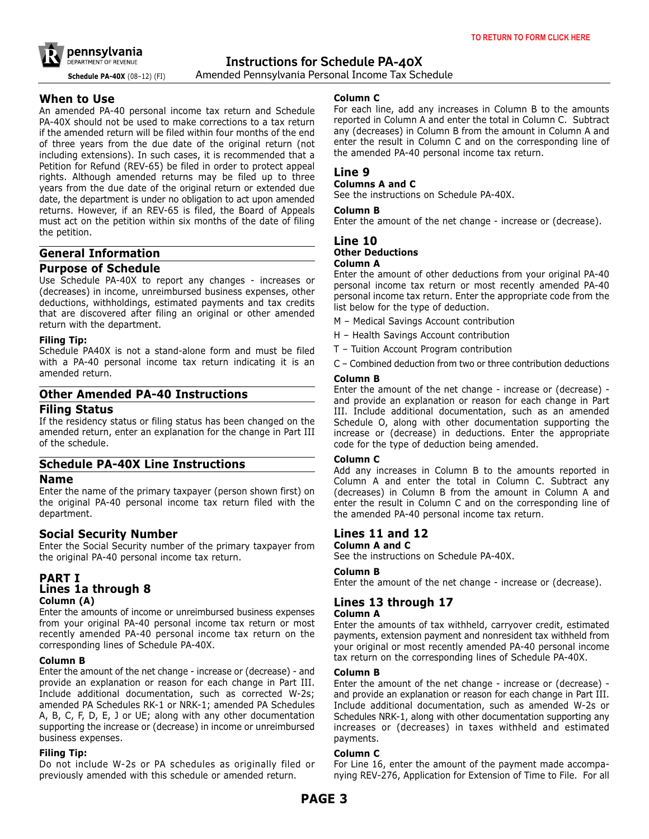

**Schedule PA-40X** (08–12) (FI) Amended Pennsylvania Personal Income Tax Schedule

## **When to Use**

An amended PA-40 personal income tax return and Schedule PA-40X should not be used to make corrections to a tax return if the amended return will be filed within four months of the end of three years from the due date of the original return (not including extensions). In such cases, it is recommended that a Petition for Refund (REV-65) be filed in order to protect appeal rights. Although amended returns may be filed up to three years from the due date of the original return or extended due date, the department is under no obligation to act upon amended returns. However, if an REV-65 is filed, the Board of Appeals must act on the petition within six months of the date of filing the petition.

## **General Information**

### **Purpose of Schedule**

Use Schedule PA-40X to report any changes - increases or (decreases) in income, unreimbursed business expenses, other deductions, withholdings, estimated payments and tax credits that are discovered after filing an original or other amended return with the department.

### **Filing Tip:**

Schedule PA40X is not a stand-alone form and must be filed with a PA-40 personal income tax return indicating it is an amended return.

## **Other Amended PA-40 Instructions**

### **Filing Status**

If the residency status or filing status has been changed on the amended return, enter an explanation for the change in Part III of the schedule.

## **Schedule PA-40X Line Instructions**

### **Name**

Enter the name of the primary taxpayer (person shown first) on the original PA-40 personal income tax return filed with the department.

## **Social Security Number**

Enter the Social Security number of the primary taxpayer from the original PA-40 personal income tax return.

### **PART I Lines 1a through 8 Column (A)**

Enter the amounts of income or unreimbursed business expenses from your original PA-40 personal income tax return or most recently amended PA-40 personal income tax return on the corresponding lines of Schedule PA-40X.

### **Column B**

Enter the amount of the net change - increase or (decrease) - and provide an explanation or reason for each change in Part III. Include additional documentation, such as corrected W-2s; amended PA Schedules RK-1 or NRK-1; amended PA Schedules A, B, C, F, D, E, J or UE; along with any other documentation supporting the increase or (decrease) in income or unreimbursed business expenses.

#### **Filing Tip:**

Do not include W-2s or PA schedules as originally filed or previously amended with this schedule or amended return.

#### **Column C**

For each line, add any increases in Column B to the amounts reported in Column A and enter the total in Column C. Subtract any (decreases) in Column B from the amount in Column A and enter the result in Column C and on the corresponding line of the amended PA-40 personal income tax return.

### **Line 9**

#### **Columns A and C**

See the instructions on Schedule PA-40X.

#### **Column B**

Enter the amount of the net change - increase or (decrease).

## **Line 10 Other Deductions**

#### **Column A**

Enter the amount of other deductions from your original PA-40 personal income tax return or most recently amended PA-40 personal income tax return. Enter the appropriate code from the list below for the type of deduction.

- M Medical Savings Account contribution
- H Health Savings Account contribution
- T Tuition Account Program contribution
- C Combined deduction from two or three contribution deductions

### **Column B**

Enter the amount of the net change - increase or (decrease) and provide an explanation or reason for each change in Part III. Include additional documentation, such as an amended Schedule O, along with other documentation supporting the increase or (decrease) in deductions. Enter the appropriate code for the type of deduction being amended.

#### **Column C**

Add any increases in Column B to the amounts reported in Column A and enter the total in Column C. Subtract any (decreases) in Column B from the amount in Column A and enter the result in Column C and on the corresponding line of the amended PA-40 personal income tax return.

# **Lines 11 and 12**

#### **Column A and C**

See the instructions on Schedule PA-40X.

#### **Column B**

Enter the amount of the net change - increase or (decrease).

## **Lines 13 through 17**

#### **Column A**

Enter the amounts of tax withheld, carryover credit, estimated payments, extension payment and nonresident tax withheld from your original or most recently amended PA-40 personal income tax return on the corresponding lines of Schedule PA-40X.

#### **Column B**

Enter the amount of the net change - increase or (decrease) and provide an explanation or reason for each change in Part III. Include additional documentation, such as amended W-2s or Schedules NRK-1, along with other documentation supporting any increases or (decreases) in taxes withheld and estimated payments.

#### **Column C**

For Line 16, enter the amount of the payment made accompanying REV-276, Application for Extension of Time to File. For all